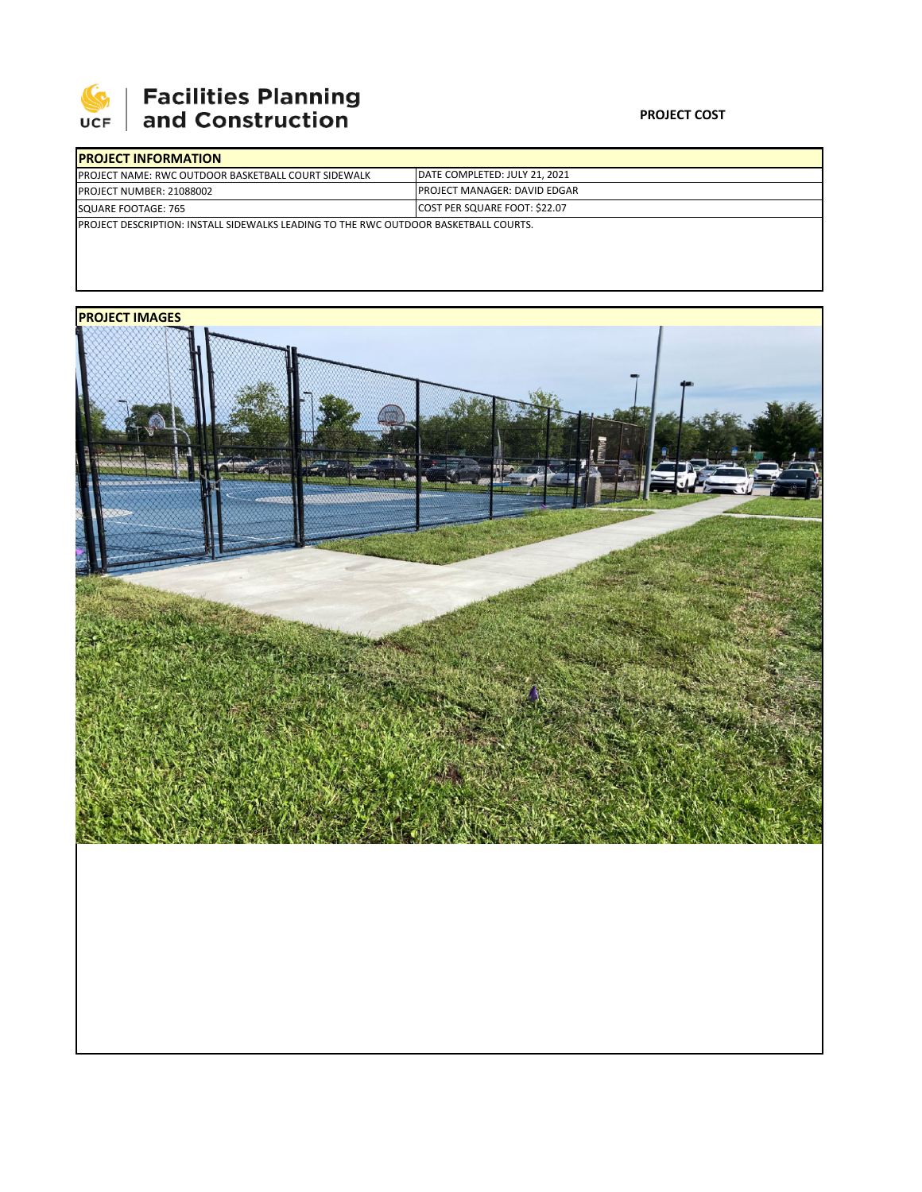

## **Facilities Planning<br>and Construction**

| <b>PROJECT INFORMATION</b>                                                                   |                                      |
|----------------------------------------------------------------------------------------------|--------------------------------------|
| <b>IPROJECT NAME: RWC OUTDOOR BASKETBALL COURT SIDEWALK</b>                                  | DATE COMPLETED: JULY 21, 2021        |
| <b>PROJECT NUMBER: 21088002</b>                                                              | <b>IPROJECT MANAGER: DAVID EDGAR</b> |
| SQUARE FOOTAGE: 765                                                                          | <b>COST PER SQUARE FOOT: \$22.07</b> |
| <b>IPROJECT DESCRIPTION: INSTALL SIDEWALKS LEADING TO THE RWC OUTDOOR BASKETBALL COURTS.</b> |                                      |
|                                                                                              |                                      |

## **PROJECT IMAGES**